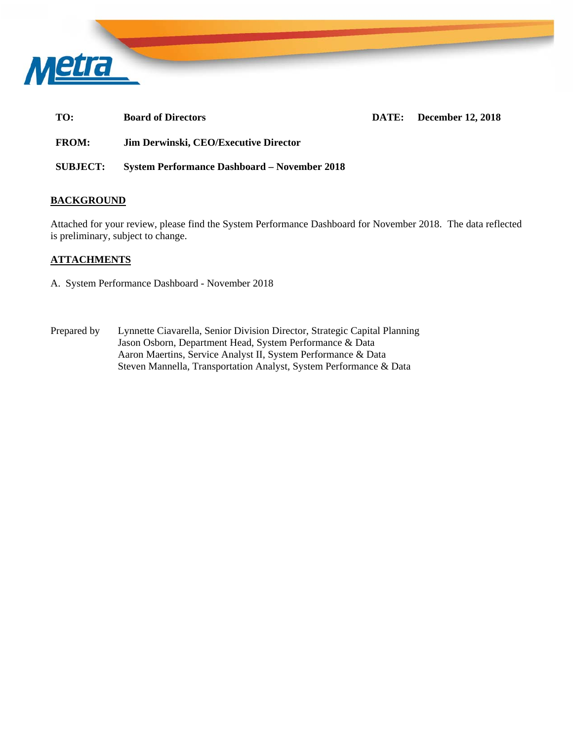

TO: Board of Directors DATE: December 12, 2018

**FROM: Jim Derwinski, CEO/Executive Director** 

**SUBJECT: System Performance Dashboard – November 2018** 

### **BACKGROUND**

Attached for your review, please find the System Performance Dashboard for November 2018. The data reflected is preliminary, subject to change.

### **ATTACHMENTS**

- A. System Performance Dashboard November 2018
- Prepared by Lynnette Ciavarella, Senior Division Director, Strategic Capital Planning Jason Osborn, Department Head, System Performance & Data Aaron Maertins, Service Analyst II, System Performance & Data Steven Mannella, Transportation Analyst, System Performance & Data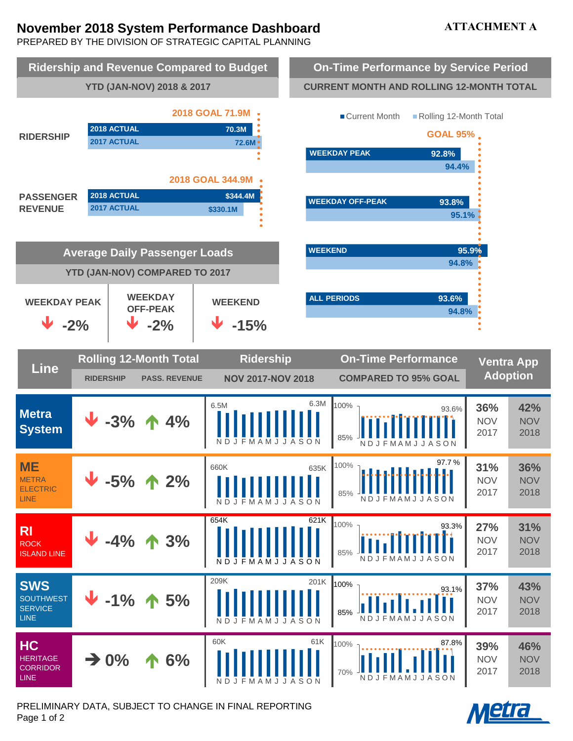# **November 2018 System Performance Dashboard**

# **ATTACHMENT A**

PREPARED BY THE DIVISION OF STRATEGIC CAPITAL PLANNING



PRELIMINARY DATA, SUBJECT TO CHANGE IN FINAL REPORTING Page 1 of 2